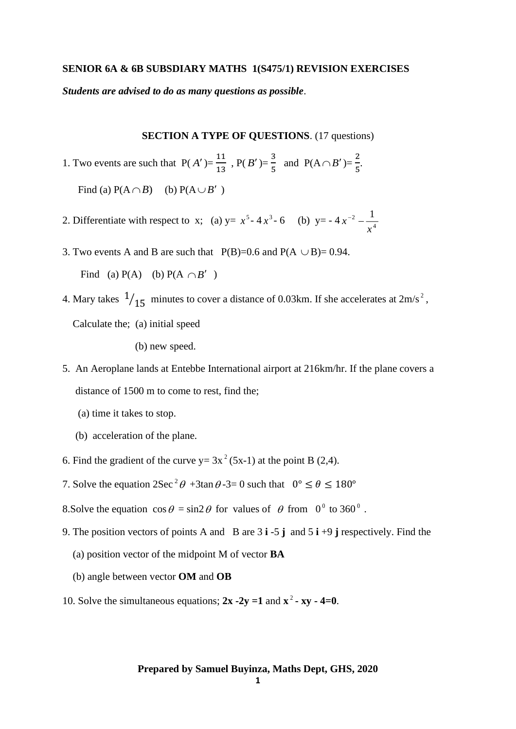## **SENIOR 6A & 6B SUBSDIARY MATHS 1(S475/1) REVISION EXERCISES**

*Students are advised to do as many questions as possible*.

**SECTION A TYPE OF QUESTIONS**. (17 questions)

*x*

1. Two events are such that  $P(A') = \frac{11}{12}$  $\frac{11}{13}$ , P(*B'*)= $\frac{3}{5}$  $rac{3}{5}$  and P(A  $\cap$  B')= $rac{2}{5}$  $\frac{2}{5}$ .

- 2. Differentiate with respect to x; (a)  $y = x^5 4x^3 6$  (b)  $y = -4x^{-2} \frac{1}{4}$  $x^{-2} - \frac{1}{x}$
- 3. Two events A and B are such that  $P(B)=0.6$  and  $P(A \cup B)=0.94$ . Find (a)  $P(A)$  (b)  $P(A \cap B')$
- 4. Mary takes  $\frac{1}{15}$  minutes to cover a distance of 0.03km. If she accelerates at  $2m/s^2$ , Calculate the; (a) initial speed

(b) new speed.

Find (a)  $P(A \cap B)$  (b)  $P(A \cup B')$ 

- 5. An Aeroplane lands at Entebbe International airport at 216km/hr. If the plane covers a distance of 1500 m to come to rest, find the;
	- (a) time it takes to stop.
	- (b) acceleration of the plane.
- 6. Find the gradient of the curve  $y = 3x^2 (5x-1)$  at the point B (2,4).
- 7. Solve the equation  $2\sec^2 \theta + 3\tan \theta 3 = 0$  such that  $0^\circ \le \theta \le 180^\circ$
- 8. Solve the equation  $\cos \theta = \sin 2\theta$  for values of  $\theta$  from  $0^{\circ}$  to 360<sup>°</sup>.
- 9. The position vectors of points A and B are 3 **i** -5 **j** and 5 **i** +9 **j** respectively. Find the
	- (a) position vector of the midpoint M of vector **BA**
	- (b) angle between vector **OM** and **OB**
- 10. Solve the simultaneous equations;  $2x 2y = 1$  and  $x^2 xy 4 = 0$ .

## **Prepared by Samuel Buyinza, Maths Dept, GHS, 2020**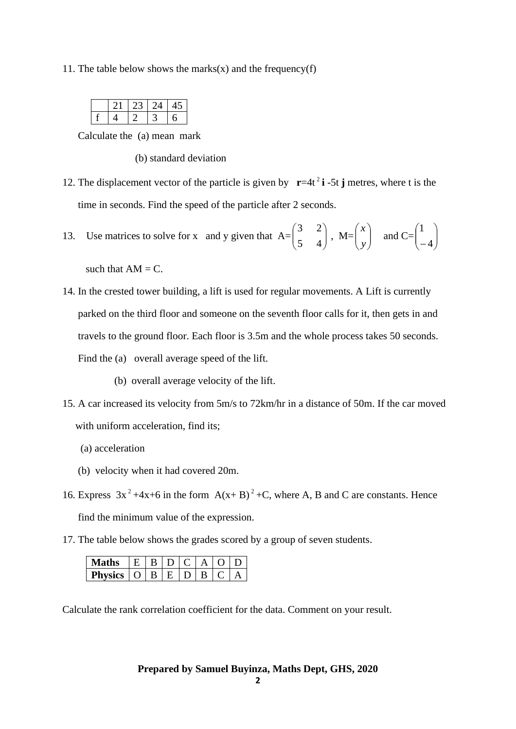11. The table below shows the marks(x) and the frequency(f)

|  | クイ |  |
|--|----|--|
|  |    |  |

Calculate the (a) mean mark

(b) standard deviation

12. The displacement vector of the particle is given by  $\mathbf{r} = 4t^2 \mathbf{i} - 5t \mathbf{j}$  metres, where t is the time in seconds. Find the speed of the particle after 2 seconds.

13. Use matrices to solve for x and y given that  $A =$ L ſ 5 3<br>-J  $\backslash$ 4  $\left( \frac{2}{1} \right)$ , M=  $\bigg)$  $\backslash$  $\overline{\phantom{a}}$ L ſ *y*  $\begin{array}{c} x \end{array}$  and C=  $\int$  $\backslash$  $\overline{\phantom{a}}$  $\setminus$ ſ − 4 1

such that  $AM = C$ .

- 14. In the crested tower building, a lift is used for regular movements. A Lift is currently parked on the third floor and someone on the seventh floor calls for it, then gets in and travels to the ground floor. Each floor is 3.5m and the whole process takes 50 seconds. Find the (a) overall average speed of the lift.
	- (b) overall average velocity of the lift.
- 15. A car increased its velocity from 5m/s to 72km/hr in a distance of 50m. If the car moved with uniform acceleration, find its;
	- (a) acceleration
	- (b) velocity when it had covered 20m.
- 16. Express  $3x^2 + 4x + 6$  in the form  $A(x + B)^2 + C$ , where A, B and C are constants. Hence find the minimum value of the expression.
- 17. The table below shows the grades scored by a group of seven students.

| <b>Maths</b>        | EIBID | $\mathbf{C}$ $\mathbf{C}$ |  |  |
|---------------------|-------|---------------------------|--|--|
| Physics $ O B E D $ |       |                           |  |  |

Calculate the rank correlation coefficient for the data. Comment on your result.

**Prepared by Samuel Buyinza, Maths Dept, GHS, 2020**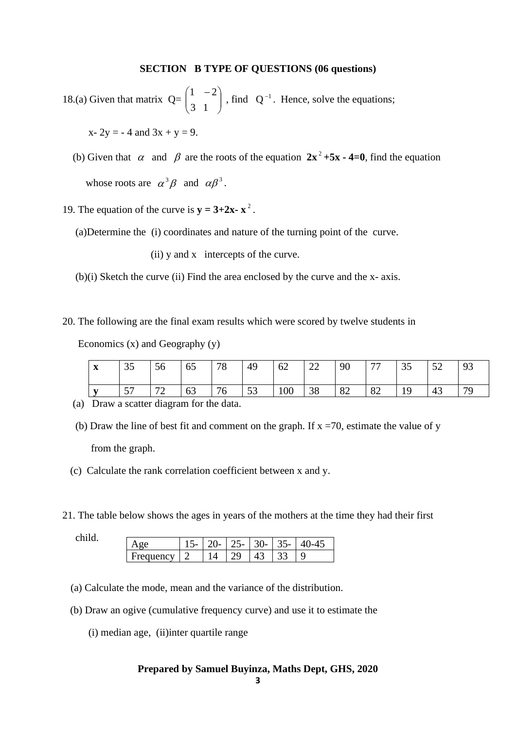## **SECTION B TYPE OF QUESTIONS (06 questions)**

18.(a) Given that matrix  $Q=$  | L ſ 3 1<br>- $\int$  $-2)$ 1  $2 \mid$ , find  $Q^{-1}$ . Hence, solve the equations;

 $x - 2y = -4$  and  $3x + y = 9$ .

- (b) Given that  $\alpha$  and  $\beta$  are the roots of the equation  $2x^2 + 5x 4 = 0$ , find the equation whose roots are  $\alpha^3 \beta$  and  $\alpha \beta^3$ .
- 19. The equation of the curve is  $y = 3+2x x^2$ .
	- (a)Determine the (i) coordinates and nature of the turning point of the curve.

(ii) y and x intercepts of the curve.

- (b)(i) Sketch the curve (ii) Find the area enclosed by the curve and the x- axis.
- 20. The following are the final exam results which were scored by twelve students in

Economics (x) and Geography (y)

| $\mathbf{v}$<br>$\mathbf{A}$ | 35          | 56                | ے ر<br><b>CO</b> | 70<br>$\sqrt{2}$      | 49       | 62  | $\cap$<br>ZΖ | 90 | $\overline{a}$ | $\cap$ $\subset$<br>ر ر | $\epsilon$<br>◡▱ | 93 |
|------------------------------|-------------|-------------------|------------------|-----------------------|----------|-----|--------------|----|----------------|-------------------------|------------------|----|
| $\mathbf{r}$                 | 57<br>ັ້ນ ≀ | $\mathbf{a}$<br>∠ | 63               | $\overline{ }$<br>7 U | 52<br>JJ | 100 | 38           | 82 | 82             | 1 <sub>O</sub><br>ᆚ     | 43               | 70 |

- (a) Draw a scatter diagram for the data.
- (b) Draw the line of best fit and comment on the graph. If  $x = 70$ , estimate the value of y from the graph.
- (c) Calculate the rank correlation coefficient between x and y.
- 21. The table below shows the ages in years of the mothers at the time they had their first

| Age       |  |                |  | $20 - 25 - 30 - 35 - 40 - 45$ |
|-----------|--|----------------|--|-------------------------------|
| Frequency |  | $\overline{Q}$ |  |                               |

- (a) Calculate the mode, mean and the variance of the distribution.
- (b) Draw an ogive (cumulative frequency curve) and use it to estimate the
	- (i) median age, (ii)inter quartile range

## **Prepared by Samuel Buyinza, Maths Dept, GHS, 2020**